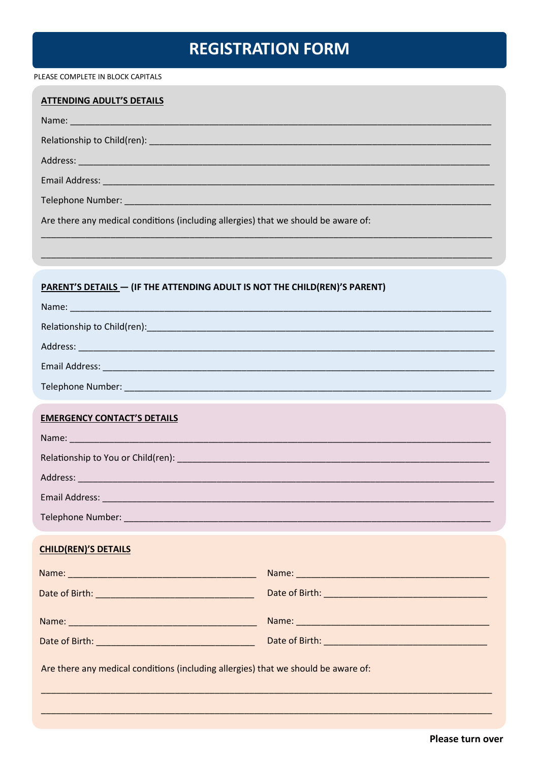# **REGISTRATION FORM**

PLEASE COMPLETE IN BLOCK CAPITALS

| <b>ATTENDING ADULT'S DETAILS</b>                                                                                                                                                                                              |  |  |                                                                                    |
|-------------------------------------------------------------------------------------------------------------------------------------------------------------------------------------------------------------------------------|--|--|------------------------------------------------------------------------------------|
|                                                                                                                                                                                                                               |  |  |                                                                                    |
|                                                                                                                                                                                                                               |  |  |                                                                                    |
|                                                                                                                                                                                                                               |  |  |                                                                                    |
|                                                                                                                                                                                                                               |  |  |                                                                                    |
|                                                                                                                                                                                                                               |  |  | Are there any medical conditions (including allergies) that we should be aware of: |
|                                                                                                                                                                                                                               |  |  |                                                                                    |
|                                                                                                                                                                                                                               |  |  |                                                                                    |
| PARENT'S DETAILS - (IF THE ATTENDING ADULT IS NOT THE CHILD(REN)'S PARENT)                                                                                                                                                    |  |  |                                                                                    |
|                                                                                                                                                                                                                               |  |  |                                                                                    |
|                                                                                                                                                                                                                               |  |  |                                                                                    |
|                                                                                                                                                                                                                               |  |  |                                                                                    |
|                                                                                                                                                                                                                               |  |  |                                                                                    |
|                                                                                                                                                                                                                               |  |  |                                                                                    |
| <b>EMERGENCY CONTACT'S DETAILS</b>                                                                                                                                                                                            |  |  |                                                                                    |
| Name: Name: Name: Name: Name: Name: Name: Name: Name: Name: Name: Name: Name: Name: Name: Name: Name: Name: Name: Name: Name: Name: Name: Name: Name: Name: Name: Name: Name: Name: Name: Name: Name: Name: Name: Name: Name: |  |  |                                                                                    |
|                                                                                                                                                                                                                               |  |  |                                                                                    |
|                                                                                                                                                                                                                               |  |  |                                                                                    |
|                                                                                                                                                                                                                               |  |  |                                                                                    |
|                                                                                                                                                                                                                               |  |  |                                                                                    |
| <b>CHILD(REN)'S DETAILS</b>                                                                                                                                                                                                   |  |  |                                                                                    |
|                                                                                                                                                                                                                               |  |  |                                                                                    |
|                                                                                                                                                                                                                               |  |  |                                                                                    |
|                                                                                                                                                                                                                               |  |  |                                                                                    |
|                                                                                                                                                                                                                               |  |  |                                                                                    |
| Are there any medical conditions (including allergies) that we should be aware of:                                                                                                                                            |  |  |                                                                                    |